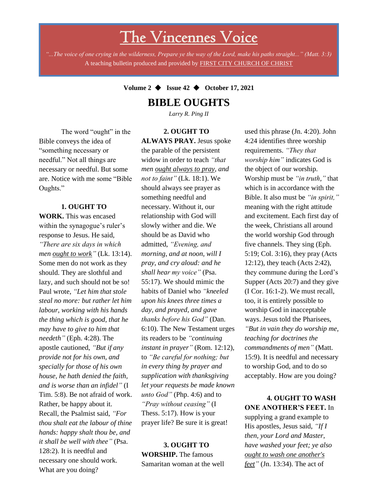# The Vincennes Voice

*"...The voice of one crying in the wilderness, Prepare ye the way of the Lord, make his paths straight..." (Matt. 3:3)* A teaching bulletin produced and provided by FIRST CITY CHURCH OF CHRIST

### **Volume 2** ◆ **Issue 42** ◆ **October 17, 2021**

### **BIBLE OUGHTS**

*Larry R. Ping II*

**2. OUGHT TO** 

The word "ought" in the Bible conveys the idea of "something necessary or needful." Not all things are necessary or needful. But some are. Notice with me some "Bible Oughts."

#### **1. OUGHT TO**

*thou shalt eat the labour of thine* **WORK.** This was encased within the synagogue's ruler's response to Jesus. He said, *"There are six days in which men ought to work"* (Lk. 13:14). Some men do not work as they should. They are slothful and lazy, and such should not be so! Paul wrote, *"Let him that stole steal no more: but rather let him labour, working with his hands the thing which is good, that he may have to give to him that needeth"* (Eph. 4:28). The apostle cautioned, *"But if any provide not for his own, and specially for those of his own house, he hath denied the faith, and is worse than an infidel"* (I Tim. 5:8). Be not afraid of work. Rather, be happy about it. Recall, the Psalmist said, *"For hands: happy shalt thou be, and it shall be well with thee"* (Psa. 128:2). It is needful and necessary one should work. What are you doing?

**ALWAYS PRAY.** Jesus spoke the parable of the persistent widow in order to teach *"that men ought always to pray, and not to faint"* (Lk. 18:1). We should always see prayer as something needful and necessary. Without it, our relationship with God will slowly wither and die. We should be as David who admitted, *"Evening, and morning, and at noon, will I pray, and cry aloud: and he shall hear my voice"* (Psa. 55:17). We should mimic the habits of Daniel who *"kneeled upon his knees three times a day, and prayed, and gave thanks before his God"* (Dan. 6:10). The New Testament urges its readers to be *"continuing instant in prayer"* (Rom. 12:12), to *"Be careful for nothing; but in every thing by prayer and supplication with thanksgiving let your requests be made known unto God"* (Php. 4:6) and to *"Pray without ceasing"* (I Thess. 5:17). How is your prayer life? Be sure it is great!

#### **3. OUGHT TO WORSHIP.** The famous Samaritan woman at the well

used this phrase (Jn. 4:20). John 4:24 identifies three worship requirements. *"They that worship him"* indicates God is the object of our worship. Worship must be *"in truth,"* that which is in accordance with the Bible. It also must be *"in spirit,"* meaning with the right attitude and excitement. Each first day of the week, Christians all around the world worship God through five channels. They sing (Eph. 5:19; Col. 3:16), they pray (Acts 12:12), they teach (Acts 2:42), they commune during the Lord's Supper (Acts 20:7) and they give (I Cor. 16:1-2). We must recall, too, it is entirely possible to worship God in inacceptable ways. Jesus told the Pharisees, *"But in vain they do worship me, teaching for doctrines the commandments of men"* (Matt. 15:9). It is needful and necessary to worship God, and to do so acceptably. How are you doing?

**4. OUGHT TO WASH ONE ANOTHER'S FEET.** In supplying a grand example to His apostles, Jesus said, *"If I then, your Lord and Master, have washed your feet; ye also ought to wash one another's feet"* (Jn. 13:34). The act of